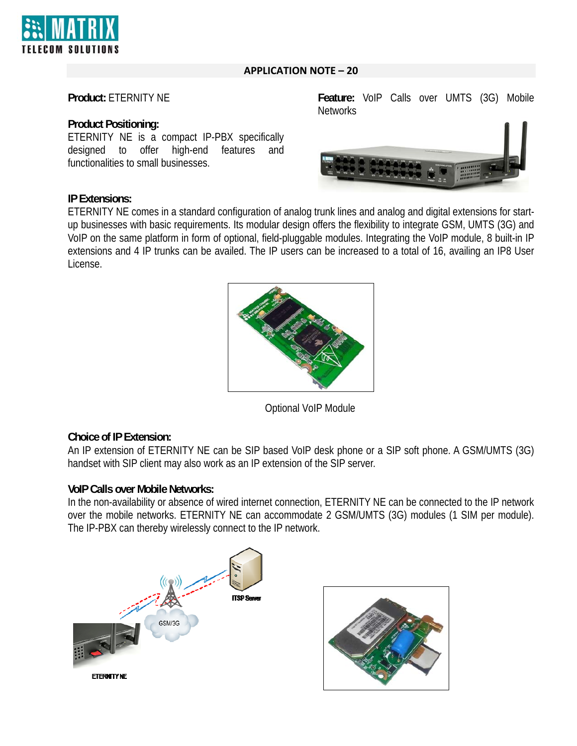

# **APPLICATION NOTE – 20**

## **Product:** ETERNITY NE

### **Product Positioning:**

ETERNITY NE is a compact IP-PBX specifically designed to offer high-end features and functionalities to small businesses.

### **IP Extensions:**

ETERNITY NE comes in a standard configuration of analog trunk lines and analog and digital extensions for startup businesses with basic requirements. Its modular design offers the flexibility to integrate GSM, UMTS (3G) and VoIP on the same platform in form of optional, field-pluggable modules. Integrating the VoIP module, 8 built-in IP extensions and 4 IP trunks can be availed. The IP users can be increased to a total of 16, availing an IP8 User License.

Optional VoIP Module

## **Choice of IP Extension:**

An IP extension of ETERNITY NE can be SIP based VoIP desk phone or a SIP soft phone. A GSM/UMTS (3G) handset with SIP client may also work as an IP extension of the SIP server.

## **VoIP Calls over Mobile Networks:**

In the non-availability or absence of wired internet connection, ETERNITY NE can be connected to the IP network over the mobile networks. ETERNITY NE can accommodate 2 GSM/UMTS (3G) modules (1 SIM per module). The IP-PBX can thereby wirelessly connect to the IP network.



**Feature:** VoIP Calls over UMTS (3G) Mobile **Networks**